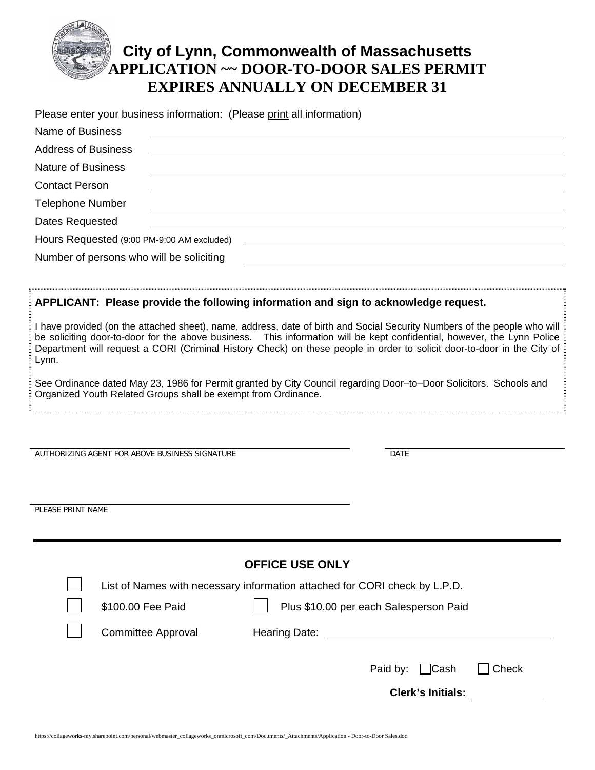

Please enter your business information: (Please print all information)

| <b>Name of Business</b>                                                                                                                                                              |                                                                                                                                                                                                                                                                                                                                                                                 |                                        |             |                          |       |  |  |
|--------------------------------------------------------------------------------------------------------------------------------------------------------------------------------------|---------------------------------------------------------------------------------------------------------------------------------------------------------------------------------------------------------------------------------------------------------------------------------------------------------------------------------------------------------------------------------|----------------------------------------|-------------|--------------------------|-------|--|--|
| <b>Address of Business</b>                                                                                                                                                           |                                                                                                                                                                                                                                                                                                                                                                                 |                                        |             |                          |       |  |  |
| <b>Nature of Business</b>                                                                                                                                                            |                                                                                                                                                                                                                                                                                                                                                                                 |                                        |             |                          |       |  |  |
| <b>Contact Person</b>                                                                                                                                                                |                                                                                                                                                                                                                                                                                                                                                                                 |                                        |             |                          |       |  |  |
| <b>Telephone Number</b>                                                                                                                                                              |                                                                                                                                                                                                                                                                                                                                                                                 |                                        |             |                          |       |  |  |
| Dates Requested                                                                                                                                                                      |                                                                                                                                                                                                                                                                                                                                                                                 |                                        |             |                          |       |  |  |
|                                                                                                                                                                                      | Hours Requested (9:00 PM-9:00 AM excluded)                                                                                                                                                                                                                                                                                                                                      |                                        |             |                          |       |  |  |
| Number of persons who will be soliciting                                                                                                                                             |                                                                                                                                                                                                                                                                                                                                                                                 |                                        |             |                          |       |  |  |
|                                                                                                                                                                                      | APPLICANT: Please provide the following information and sign to acknowledge request.                                                                                                                                                                                                                                                                                            |                                        |             |                          |       |  |  |
| Lynn.                                                                                                                                                                                | I have provided (on the attached sheet), name, address, date of birth and Social Security Numbers of the people who will<br>be soliciting door-to-door for the above business.  This information will be kept confidential, however, the Lynn Police<br>Department will request a CORI (Criminal History Check) on these people in order to solicit door-to-door in the City of |                                        |             |                          |       |  |  |
| See Ordinance dated May 23, 1986 for Permit granted by City Council regarding Door-to-Door Solicitors. Schools and<br>Organized Youth Related Groups shall be exempt from Ordinance. |                                                                                                                                                                                                                                                                                                                                                                                 |                                        |             |                          |       |  |  |
|                                                                                                                                                                                      |                                                                                                                                                                                                                                                                                                                                                                                 |                                        |             |                          |       |  |  |
|                                                                                                                                                                                      | AUTHORIZING AGENT FOR ABOVE BUSINESS SIGNATURE                                                                                                                                                                                                                                                                                                                                  |                                        | <b>DATE</b> |                          |       |  |  |
|                                                                                                                                                                                      |                                                                                                                                                                                                                                                                                                                                                                                 |                                        |             |                          |       |  |  |
| PLEASE PRINT NAME                                                                                                                                                                    |                                                                                                                                                                                                                                                                                                                                                                                 |                                        |             |                          |       |  |  |
|                                                                                                                                                                                      |                                                                                                                                                                                                                                                                                                                                                                                 |                                        |             |                          |       |  |  |
|                                                                                                                                                                                      |                                                                                                                                                                                                                                                                                                                                                                                 | <b>OFFICE USE ONLY</b>                 |             |                          |       |  |  |
|                                                                                                                                                                                      | List of Names with necessary information attached for CORI check by L.P.D.                                                                                                                                                                                                                                                                                                      |                                        |             |                          |       |  |  |
|                                                                                                                                                                                      | \$100.00 Fee Paid                                                                                                                                                                                                                                                                                                                                                               | Plus \$10.00 per each Salesperson Paid |             |                          |       |  |  |
|                                                                                                                                                                                      | <b>Committee Approval</b>                                                                                                                                                                                                                                                                                                                                                       | Hearing Date:                          |             |                          |       |  |  |
|                                                                                                                                                                                      |                                                                                                                                                                                                                                                                                                                                                                                 |                                        | Paid by:    | $\Box$ Cash              | Check |  |  |
|                                                                                                                                                                                      |                                                                                                                                                                                                                                                                                                                                                                                 |                                        |             | <b>Clerk's Initials:</b> |       |  |  |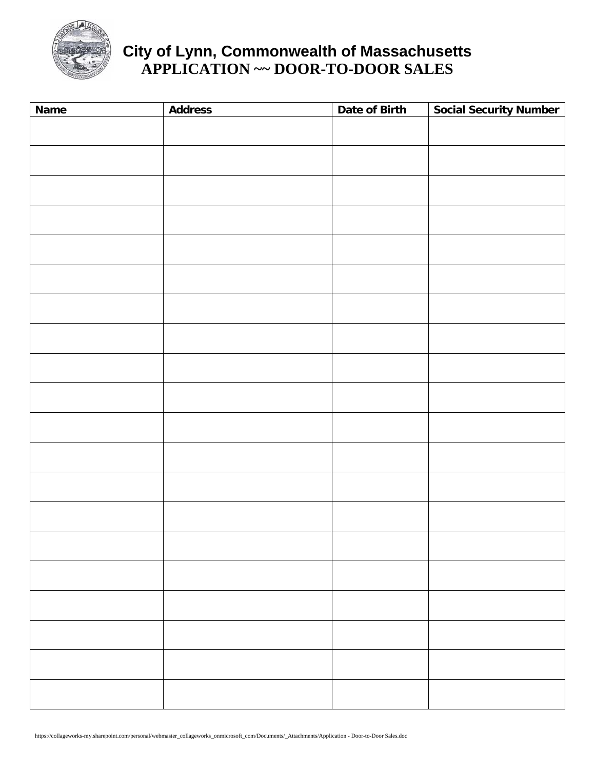

# **City of Lynn, Commonwealth of Massachusetts APPLICATION ~~ DOOR-TO-DOOR SALES**

| <b>Name</b> | <b>Address</b> | Date of Birth | <b>Social Security Number</b> |
|-------------|----------------|---------------|-------------------------------|
|             |                |               |                               |
|             |                |               |                               |
|             |                |               |                               |
|             |                |               |                               |
|             |                |               |                               |
|             |                |               |                               |
|             |                |               |                               |
|             |                |               |                               |
|             |                |               |                               |
|             |                |               |                               |
|             |                |               |                               |
|             |                |               |                               |
|             |                |               |                               |
|             |                |               |                               |
|             |                |               |                               |
|             |                |               |                               |
|             |                |               |                               |
|             |                |               |                               |
|             |                |               |                               |
|             |                |               |                               |
|             |                |               |                               |
|             |                |               |                               |
|             |                |               |                               |
|             |                |               |                               |
|             |                |               |                               |
|             |                |               |                               |
|             |                |               |                               |
|             |                |               |                               |
|             |                |               |                               |
|             |                |               |                               |
|             |                |               |                               |
|             |                |               |                               |
|             |                |               |                               |
|             |                |               |                               |
|             |                |               |                               |